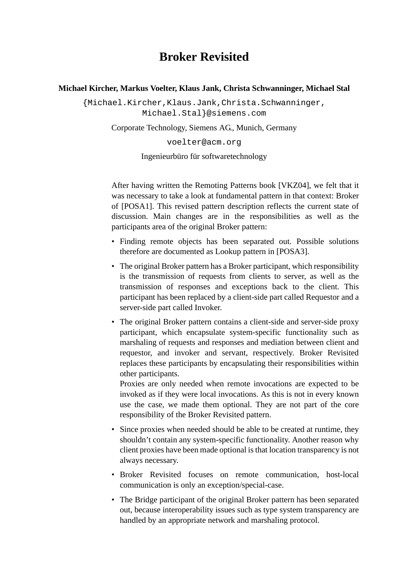# **Broker Revisited**

#### **Michael Kircher, Markus Voelter, Klaus Jank, Christa Schwanninger, Michael Stal**

{Michael.Kircher,Klaus.Jank,Christa.Schwanninger, Michael.Stal}@siemens.com

Corporate Technology, Siemens AG., Munich, Germany

voelter@acm.org

Ingenieurbüro für softwaretechnology

After having written the Remoting Patterns book [\[VKZ04\],](#page-13-2) we felt that it was necessary to take a look at fundamental pattern in that context: Broker of [\[POSA1\].](#page-13-1) This revised pattern description reflects the current state of discussion. Main changes are in the responsibilities as well as the participants area of the original Broker pattern:

- Finding remote objects has been separated out. Possible solutions therefore are documented as Lookup pattern in [\[POSA3\].](#page-13-0)
- The original Broker pattern has a Broker participant, which responsibility is the transmission of requests from clients to server, as well as the transmission of responses and exceptions back to the client. This participant has been replaced by a client-side part called Requestor and a server-side part called Invoker.
- The original Broker pattern contains a client-side and server-side proxy participant, which encapsulate system-specific functionality such as marshaling of requests and responses and mediation between client and requestor, and invoker and servant, respectively. Broker Revisited replaces these participants by encapsulating their responsibilities within other participants.

Proxies are only needed when remote invocations are expected to be invoked as if they were local invocations. As this is not in every known use the case, we made them optional. They are not part of the core responsibility of the Broker Revisited pattern.

- Since proxies when needed should be able to be created at runtime, they shouldn't contain any system-specific functionality. Another reason why client proxies have been made optional is that location transparency is not always necessary.
- Broker Revisited focuses on remote communication, host-local communication is only an exception/special-case.
- The Bridge participant of the original Broker pattern has been separated out, because interoperability issues such as type system transparency are handled by an appropriate network and marshaling protocol.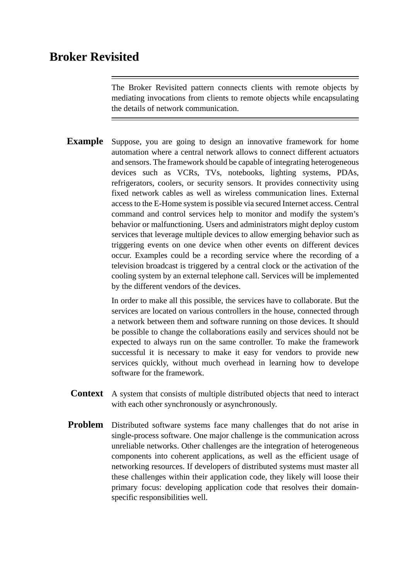# **Broker Revisited**

The Broker Revisited pattern connects clients with remote objects by mediating invocations from clients to remote objects while encapsulating the details of network communication.

**Example** Suppose, you are going to design an innovative framework for home automation where a central network allows to connect different actuators and sensors. The framework should be capable of integrating heterogeneous devices such as VCRs, TVs, notebooks, lighting systems, PDAs, refrigerators, coolers, or security sensors. It provides connectivity using fixed network cables as well as wireless communication lines. External access to the E-Home system is possible via secured Internet access. Central command and control services help to monitor and modify the system's behavior or malfunctioning. Users and administrators might deploy custom services that leverage multiple devices to allow emerging behavior such as triggering events on one device when other events on different devices occur. Examples could be a recording service where the recording of a television broadcast is triggered by a central clock or the activation of the cooling system by an external telephone call. Services will be implemented by the different vendors of the devices.

> In order to make all this possible, the services have to collaborate. But the services are located on various controllers in the house, connected through a network between them and software running on those devices. It should be possible to change the collaborations easily and services should not be expected to always run on the same controller. To make the framework successful it is necessary to make it easy for vendors to provide new services quickly, without much overhead in learning how to develope software for the framework.

- **Context** A system that consists of multiple distributed objects that need to interact with each other synchronously or asynchronously.
- **Problem** Distributed software systems face many challenges that do not arise in single-process software. One major challenge is the communication across unreliable networks. Other challenges are the integration of heterogeneous components into coherent applications, as well as the efficient usage of networking resources. If developers of distributed systems must master all these challenges within their application code, they likely will loose their primary focus: developing application code that resolves their domainspecific responsibilities well.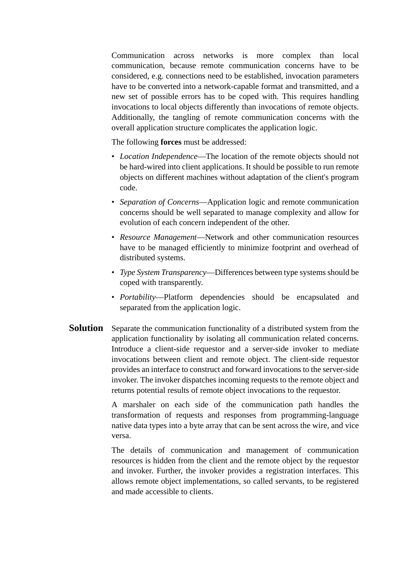Communication across networks is more complex than local communication, because remote communication concerns have to be considered, e.g. connections need to be established, invocation parameters have to be converted into a network-capable format and transmitted, and a new set of possible errors has to be coped with. This requires handling invocations to local objects differently than invocations of remote objects. Additionally, the tangling of remote communication concerns with the overall application structure complicates the application logic.

The following **forces** must be addressed:

- *Location Independence*—The location of the remote objects should not be hard-wired into client applications. It should be possible to run remote objects on different machines without adaptation of the client's program code.
- *Separation of Concerns*—Application logic and remote communication concerns should be well separated to manage complexity and allow for evolution of each concern independent of the other.
- *Resource Management*—Network and other communication resources have to be managed efficiently to minimize footprint and overhead of distributed systems.
- *Type System Transparency*—Differences between type systems should be coped with transparently.
- *Portability*—Platform dependencies should be encapsulated and separated from the application logic.
- **Solution** Separate the communication functionality of a distributed system from the application functionality by isolating all communication related concerns. Introduce a client-side requestor and a server-side invoker to mediate invocations between client and remote object. The client-side requestor provides an interface to construct and forward invocations to the server-side invoker. The invoker dispatches incoming requests to the remote object and returns potential results of remote object invocations to the requestor.

A marshaler on each side of the communication path handles the transformation of requests and responses from programming-language native data types into a byte array that can be sent across the wire, and vice versa.

The details of communication and management of communication resources is hidden from the client and the remote object by the requestor and invoker. Further, the invoker provides a registration interfaces. This allows remote object implementations, so called servants, to be registered and made accessible to clients.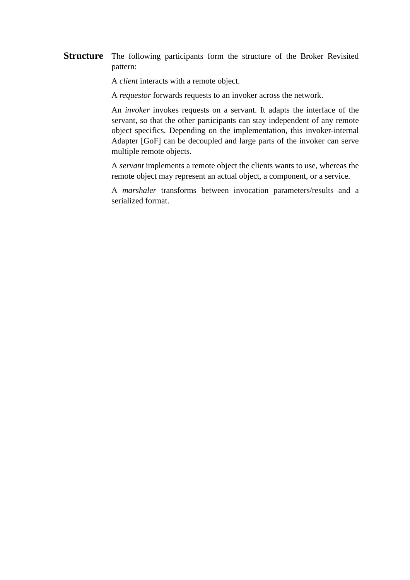**Structure** The following participants form the structure of the Broker Revisited pattern:

A *client* interacts with a remote object.

A *requestor* forwards requests to an invoker across the network.

An *invoker* invokes requests on a servant. It adapts the interface of the servant, so that the other participants can stay independent of any remote object specifics. Depending on the implementation, this invoker-internal Adapter [\[GoF\]](#page-13-3) can be decoupled and large parts of the invoker can serve multiple remote objects.

A *servant* implements a remote object the clients wants to use, whereas the remote object may represent an actual object, a component, or a service.

A *marshaler* transforms between invocation parameters/results and a serialized format.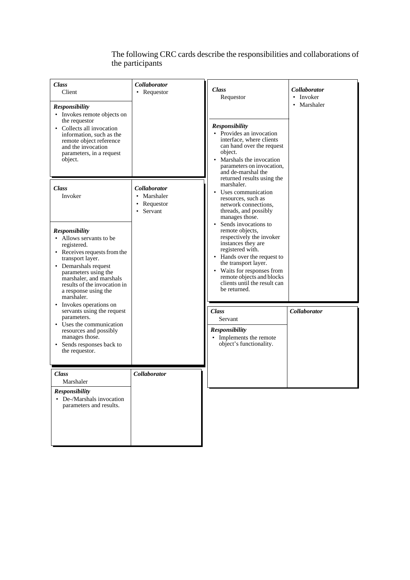### The following CRC cards describe the responsibilities and collaborations of the participants

| <b>Class</b><br>Client<br><b>Responsibility</b><br>• Invokes remote objects on<br>the requestor<br>• Collects all invocation<br>information, such as the<br>remote object reference<br>and the invocation<br>parameters, in a request<br>object.                                                | Collaborator<br>• Requestor                                  | <b>Class</b><br>Requestor<br><b>Responsibility</b><br>• Provides an invocation<br>interface, where clients<br>can hand over the request<br>object.<br>Marshals the invocation<br>parameters on invocation,<br>and de-marshal the<br>returned results using the<br>marshaler.<br>Uses communication<br>resources, such as<br>network connections,<br>threads, and possibly<br>manages those.<br>Sends invocations to<br>remote objects,<br>respectively the invoker<br>instances they are<br>registered with.<br>• Hands over the request to<br>the transport layer.<br>Waits for responses from<br>remote objects and blocks<br>clients until the result can<br>be returned. | <b>Collaborator</b><br>• Invoker<br>• Marshaler |
|-------------------------------------------------------------------------------------------------------------------------------------------------------------------------------------------------------------------------------------------------------------------------------------------------|--------------------------------------------------------------|------------------------------------------------------------------------------------------------------------------------------------------------------------------------------------------------------------------------------------------------------------------------------------------------------------------------------------------------------------------------------------------------------------------------------------------------------------------------------------------------------------------------------------------------------------------------------------------------------------------------------------------------------------------------------|-------------------------------------------------|
| <b>Class</b><br>Invoker<br><b>Responsibility</b><br>• Allows servants to be<br>registered.<br>• Receives requests from the<br>transport layer.<br>• Demarshals request<br>parameters using the<br>marshaler, and marshals<br>results of the invocation in<br>a response using the<br>marshaler. | <i>Collaborator</i><br>• Marshaler<br>Requestor<br>• Servant |                                                                                                                                                                                                                                                                                                                                                                                                                                                                                                                                                                                                                                                                              |                                                 |
| Invokes operations on<br>$\bullet$<br>servants using the request<br>parameters.<br>Uses the communication<br>$\bullet$<br>resources and possibly<br>manages those.<br>• Sends responses back to<br>the requestor.                                                                               |                                                              | <b>Class</b><br>Servant<br><b>Responsibility</b><br>• Implements the remote<br>object's functionality.                                                                                                                                                                                                                                                                                                                                                                                                                                                                                                                                                                       | Collaborator                                    |
| <b>Class</b><br>Marshaler<br>Responsibility<br>• De-/Marshals invocation<br>parameters and results.                                                                                                                                                                                             | Collaborator                                                 |                                                                                                                                                                                                                                                                                                                                                                                                                                                                                                                                                                                                                                                                              |                                                 |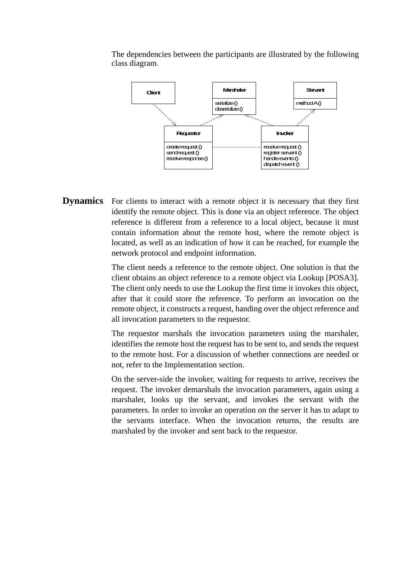

The dependencies between the participants are illustrated by the following class diagram.

**Dynamics** For clients to interact with a remote object it is necessary that they first identify the remote object. This is done via an object reference. The object reference is different from a reference to a local object, because it must contain information about the remote host, where the remote object is located, as well as an indication of how it can be reached, for example the network protocol and endpoint information.

> The client needs a reference to the remote object. One solution is that the client obtains an object reference to a remote object via Lookup [\[POSA3\].](#page-13-0) The client only needs to use the Lookup the first time it invokes this object, after that it could store the reference. To perform an invocation on the remote object, it constructs a request, handing over the object reference and all invocation parameters to the requestor.

> The requestor marshals the invocation parameters using the marshaler, identifies the remote host the request has to be sent to, and sends the request to the remote host. For a discussion of whether connections are needed or not, refer to the Implementation section.

> On the server-side the invoker, waiting for requests to arrive, receives the request. The invoker demarshals the invocation parameters, again using a marshaler, looks up the servant, and invokes the servant with the parameters. In order to invoke an operation on the server it has to adapt to the servants interface. When the invocation returns, the results are marshaled by the invoker and sent back to the requestor.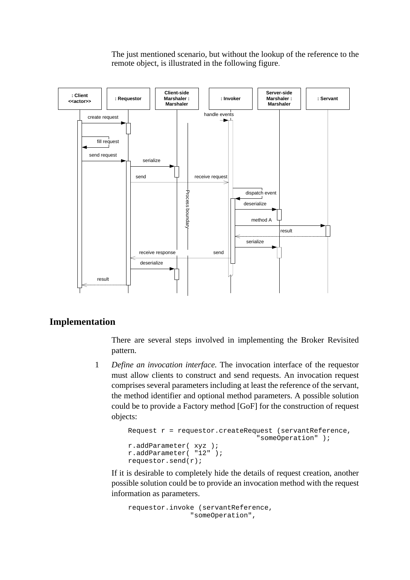The just mentioned scenario, but without the lookup of the reference to the remote object, is illustrated in the following figure.



### **Implementation**

There are several steps involved in implementing the Broker Revisited pattern.

1 *Define an invocation interface.* The invocation interface of the requestor must allow clients to construct and send requests. An invocation request comprises several parameters including at least the reference of the servant, the method identifier and optional method parameters. A possible solution could be to provide a Factory method [GoF] for the construction of request objects:

```
Request r = \text{request} \cdot \text{createRequest} (servantReference,
                                     "someOperation" );
r.addParameter( xyz );
r.addParameter( "12" );
requestor.send(r);
```
If it is desirable to completely hide the details of request creation, another possible solution could be to provide an invocation method with the request information as parameters.

```
requestor.invoke (servantReference,
               "someOperation",
```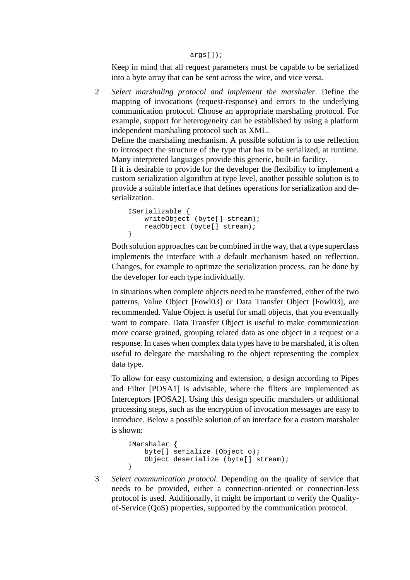#### args[]);

Keep in mind that all request parameters must be capable to be serialized into a byte array that can be sent across the wire, and vice versa.

2 *Select marshaling protocol and implement the marshaler*. Define the mapping of invocations (request-response) and errors to the underlying communication protocol. Choose an appropriate marshaling protocol. For example, support for heterogeneity can be established by using a platform independent marshaling protocol such as XML.

Define the marshaling mechanism. A possible solution is to use reflection to introspect the structure of the type that has to be serialized, at runtime. Many interpreted languages provide this generic, built-in facility.

If it is desirable to provide for the developer the flexibility to implement a custom serialization algorithm at type level, another possible solution is to provide a suitable interface that defines operations for serialization and deserialization.

```
ISerializable {
   writeObject (byte[] stream);
   readObject (byte[] stream);
}
```
Both solution approaches can be combined in the way, that a type superclass implements the interface with a default mechanism based on reflection. Changes, for example to optimze the serialization process, can be done by the developer for each type individually.

In situations when complete objects need to be transferred, either of the two patterns, Value Object [\[Fowl03\]](#page-13-4) or Data Transfer Object [\[Fowl03\],](#page-13-4) are recommended. Value Object is useful for small objects, that you eventually want to compare. Data Transfer Object is useful to make communication more coarse grained, grouping related data as one object in a request or a response. In cases when complex data types have to be marshaled, it is often useful to delegate the marshaling to the object representing the complex data type.

To allow for easy customizing and extension, a design according to Pipes and Filter [\[POSA1\]](#page-13-1) is advisable, where the filters are implemented as Interceptors [\[POSA2\]](#page-13-5). Using this design specific marshalers or additional processing steps, such as the encryption of invocation messages are easy to introduce. Below a possible solution of an interface for a custom marshaler is shown:

```
IMarshaler {
   byte[] serialize (Object o);
    Object deserialize (byte[] stream);
}
```
3 *Select communication protocol.* Depending on the quality of service that needs to be provided, either a connection-oriented or connection-less protocol is used. Additionally, it might be important to verify the Qualityof-Service (QoS) properties, supported by the communication protocol.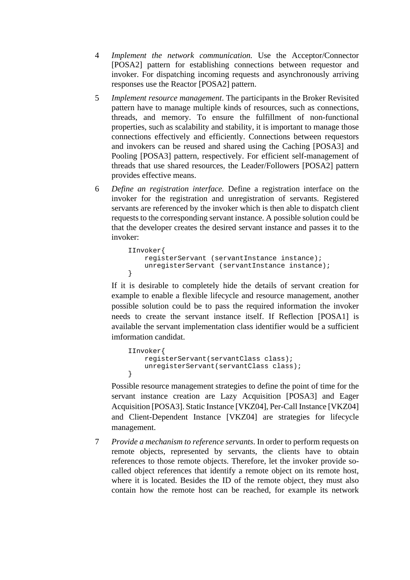- 4 *Implement the network communication.* Use the Acceptor/Connector [\[POSA2\]](#page-13-5) pattern for establishing connections between requestor and invoker. For dispatching incoming requests and asynchronously arriving responses use the Reactor [\[POSA2\]](#page-13-5) pattern.
- 5 *Implement resource management*. The participants in the Broker Revisited pattern have to manage multiple kinds of resources, such as connections, threads, and memory. To ensure the fulfillment of non-functional properties, such as scalability and stability, it is important to manage those connections effectively and efficiently. Connections between requestors and invokers can be reused and shared using the Caching [\[POSA3\]](#page-13-0) and Pooling [\[POSA3\]](#page-13-0) pattern, respectively. For efficient self-management of threads that use shared resources, the Leader/Followers [\[POSA2\]](#page-13-5) pattern provides effective means.
- 6 *Define an registration interface.* Define a registration interface on the invoker for the registration and unregistration of servants. Registered servants are referenced by the invoker which is then able to dispatch client requests to the corresponding servant instance. A possible solution could be that the developer creates the desired servant instance and passes it to the invoker:

```
IInvoker{
   registerServant (servantInstance instance);
    unregisterServant (servantInstance instance);
}
```
If it is desirable to completely hide the details of servant creation for example to enable a flexible lifecycle and resource management, another possible solution could be to pass the required information the invoker needs to create the servant instance itself. If Reflection [\[POSA1\]](#page-13-1) is available the servant implementation class identifier would be a sufficient imformation candidat.

```
IInvoker{
   registerServant(servantClass class);
    unregisterServant(servantClass class);
}
```
Possible resource management strategies to define the point of time for the servant instance creation are Lazy Acquisition [\[POSA3\]](#page-13-0) and Eager Acquisition [\[POSA3\].](#page-13-0) Static Instance [\[VKZ04\]](#page-13-2), Per-Call Instance [\[VKZ04\]](#page-13-2) and Client-Dependent Instance [\[VKZ04\]](#page-13-2) are strategies for lifecycle management.

7 *Provide a mechanism to reference servants*. In order to perform requests on remote objects, represented by servants, the clients have to obtain references to those remote objects. Therefore, let the invoker provide socalled object references that identify a remote object on its remote host, where it is located. Besides the ID of the remote object, they must also contain how the remote host can be reached, for example its network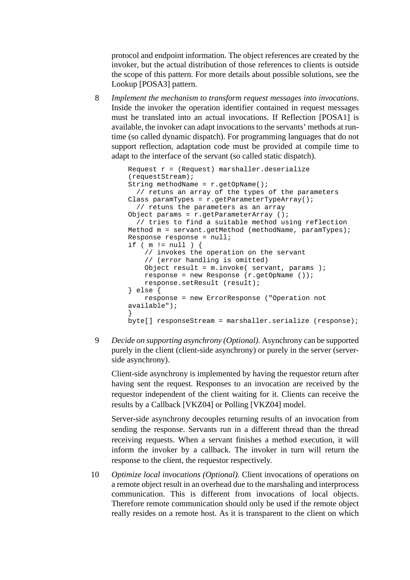protocol and endpoint information. The object references are created by the invoker, but the actual distribution of those references to clients is outside the scope of this pattern. For more details about possible solutions, see the Lookup [\[POSA3\]](#page-13-0) pattern.

8 *Implement the mechanism to transform request messages into invocations*. Inside the invoker the operation identifier contained in request messages must be translated into an actual invocations. If Reflection [\[POSA1\]](#page-13-1) is available, the invoker can adapt invocations to the servants' methods at runtime (so called dynamic dispatch). For programming languages that do not support reflection, adaptation code must be provided at compile time to adapt to the interface of the servant (so called static dispatch).

```
Request r = (Request) marshaller.deserialize
(requestStream);
String methodName = r.getOpName();
  // retuns an array of the types of the parameters
Class paramTypes = r.getParameterTypeArray();
  // retuns the parameters as an array 
Object params = r.getParameterArray ();
  // tries to find a suitable method using reflection
Method m = servant.getMethod (methodName, paramTypes);
Response response = null;
if ( m := null ) {
    // invokes the operation on the servant
    // (error handling is omitted)
    Object result = m.invoke( servant, params )iresponse = new Response (r.getOpName ());
   response.setResult (result);
} else {
    response = new ErrorResponse ("Operation not 
available");
}
byte[] responseStream = marshaller.serialize (response);
```
9 *Decide on supporting asynchrony (Optional)*. Asynchrony can be supported purely in the client (client-side asynchrony) or purely in the server (serverside asynchrony).

Client-side asynchrony is implemented by having the requestor return after having sent the request. Responses to an invocation are received by the requestor independent of the client waiting for it. Clients can receive the results by a Callback [\[VKZ04\]](#page-13-2) or Polling [\[VKZ04\]](#page-13-2) model.

Server-side asynchrony decouples returning results of an invocation from sending the response. Servants run in a different thread than the thread receiving requests. When a servant finishes a method execution, it will inform the invoker by a callback. The invoker in turn will return the response to the client, the requestor respectively.

10 *Optimize local invocations (Optional).* Client invocations of operations on a remote object result in an overhead due to the marshaling and interprocess communication. This is different from invocations of local objects. Therefore remote communication should only be used if the remote object really resides on a remote host. As it is transparent to the client on which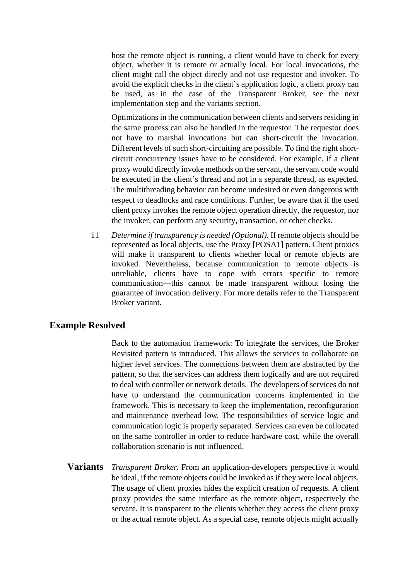host the remote object is running, a client would have to check for every object, whether it is remote or actually local. For local invocations, the client might call the object direcly and not use requestor and invoker. To avoid the explicit checks in the client's application logic, a client proxy can be used, as in the case of the Transparent Broker, see the next implementation step and the variants section.

Optimizations in the communication between clients and servers residing in the same process can also be handled in the requestor. The requestor does not have to marshal invocations but can short-circuit the invocation. Different levels of such short-circuiting are possible. To find the right shortcircuit concurrency issues have to be considered. For example, if a client proxy would directly invoke methods on the servant, the servant code would be executed in the client's thread and not in a separate thread, as expected. The multithreading behavior can become undesired or even dangerous with respect to deadlocks and race conditions. Further, be aware that if the used client proxy invokes the remote object operation directly, the requestor, nor the invoker, can perform any security, transaction, or other checks.

11 *Determine if transparency is needed (Optional).* If remote objects should be represented as local objects, use the Proxy [\[POSA1\]](#page-13-1) pattern. Client proxies will make it transparent to clients whether local or remote objects are invoked. Nevertheless, because communication to remote objects is unreliable, clients have to cope with errors specific to remote communication—this cannot be made transparent without losing the guarantee of invocation delivery. For more details refer to the Transparent Broker variant.

## **Example Resolved**

Back to the automation framework: To integrate the services, the Broker Revisited pattern is introduced. This allows the services to collaborate on higher level services. The connections between them are abstracted by the pattern, so that the services can address them logically and are not required to deal with controller or network details. The developers of services do not have to understand the communication concerns implemented in the framework. This is necessary to keep the implementation, reconfiguration and maintenance overhead low. The responsibilities of service logic and communication logic is properly separated. Services can even be collocated on the same controller in order to reduce hardware cost, while the overall collaboration scenario is not influenced.

**Variants** *Transparent Broker*. From an application-developers perspective it would be ideal, if the remote objects could be invoked as if they were local objects. The usage of client proxies hides the explicit creation of requests. A client proxy provides the same interface as the remote object, respectively the servant. It is transparent to the clients whether they access the client proxy or the actual remote object. As a special case, remote objects might actually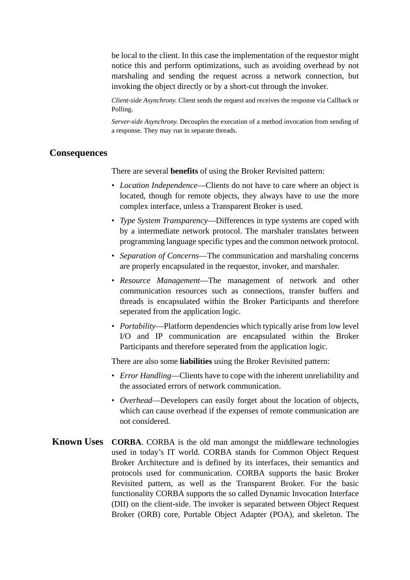be local to the client. In this case the implementation of the requestor might notice this and perform optimizations, such as avoiding overhead by not marshaling and sending the request across a network connection, but invoking the object directly or by a short-cut through the invoker.

*Client-side Asynchrony*. Client sends the request and receives the response via Callback or Polling.

*Server-side Asynchrony*. Decouples the execution of a method invocation from sending of a response. They may run in separate threads.

### **Consequences**

There are several **benefits** of using the Broker Revisited pattern:

- *Location Independence*—Clients do not have to care where an object is located, though for remote objects, they always have to use the more complex interface, unless a Transparent Broker is used.
- *Type System Transparency*—Differences in type systems are coped with by a intermediate network protocol. The marshaler translates between programming language specific types and the common network protocol.
- *Separation of Concerns*—The communication and marshaling concerns are properly encapsulated in the requestor, invoker, and marshaler.
- *Resource Management*—The management of network and other communication resources such as connections, transfer buffers and threads is encapsulated within the Broker Participants and therefore seperated from the application logic.
- *Portability*—Platform dependencies which typically arise from low level I/O and IP communication are encapsulated within the Broker Participants and therefore seperated from the application logic.

There are also some **liabilities** using the Broker Revisited pattern:

- *Error Handling*—Clients have to cope with the inherent unreliability and the associated errors of network communication.
- *Overhead*—Developers can easily forget about the location of objects, which can cause overhead if the expenses of remote communication are not considered.
- **Known Uses CORBA**. CORBA is the old man amongst the middleware technologies used in today's IT world. CORBA stands for Common Object Request Broker Architecture and is defined by its interfaces, their semantics and protocols used for communication. CORBA supports the basic Broker Revisited pattern, as well as the Transparent Broker. For the basic functionality CORBA supports the so called Dynamic Invocation Interface (DII) on the client-side. The invoker is separated between Object Request Broker (ORB) core, Portable Object Adapter (POA), and skeleton. The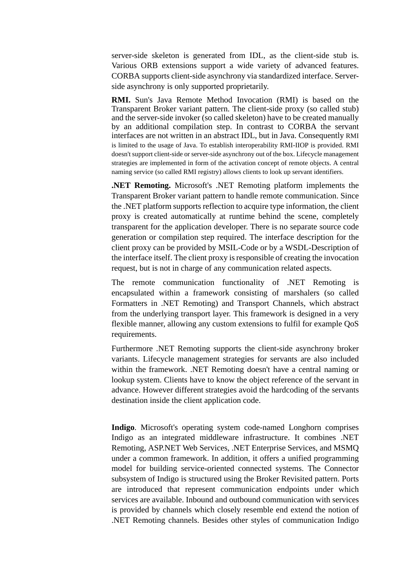server-side skeleton is generated from IDL, as the client-side stub is. Various ORB extensions support a wide variety of advanced features. CORBA supports client-side asynchrony via standardized interface. Serverside asynchrony is only supported proprietarily.

**RMI.** Sun's Java Remote Method Invocation (RMI) is based on the Transparent Broker variant pattern. The client-side proxy (so called stub) and the server-side invoker (so called skeleton) have to be created manually by an additional compilation step. In contrast to CORBA the servant interfaces are not written in an abstract IDL, but in Java. Consequently RMI is limited to the usage of Java. To establish interoperability RMI-IIOP is provided. RMI doesn't support client-side or server-side asynchrony out of the box. Lifecycle management strategies are implemented in form of the activation concept of remote objects. A central naming service (so called RMI registry) allows clients to look up servant identifiers.

**.NET Remoting.** Microsoft's .NET Remoting platform implements the Transparent Broker variant pattern to handle remote communication. Since the .NET platform supports reflection to acquire type information, the client proxy is created automatically at runtime behind the scene, completely transparent for the application developer. There is no separate source code generation or compilation step required. The interface description for the client proxy can be provided by MSIL-Code or by a WSDL-Description of the interface itself. The client proxy is responsible of creating the invocation request, but is not in charge of any communication related aspects.

The remote communication functionality of .NET Remoting is encapsulated within a framework consisting of marshalers (so called Formatters in .NET Remoting) and Transport Channels, which abstract from the underlying transport layer. This framework is designed in a very flexible manner, allowing any custom extensions to fulfil for example QoS requirements.

Furthermore .NET Remoting supports the client-side asynchrony broker variants. Lifecycle management strategies for servants are also included within the framework. .NET Remoting doesn't have a central naming or lookup system. Clients have to know the object reference of the servant in advance. However different strategies avoid the hardcoding of the servants destination inside the client application code.

**Indigo**. Microsoft's operating system code-named Longhorn comprises Indigo as an integrated middleware infrastructure. It combines .NET Remoting, ASP.NET Web Services, .NET Enterprise Services, and MSMQ under a common framework. In addition, it offers a unified programming model for building service-oriented connected systems. The Connector subsystem of Indigo is structured using the Broker Revisited pattern. Ports are introduced that represent communication endpoints under which services are available. Inbound and outbound communication with services is provided by channels which closely resemble end extend the notion of .NET Remoting channels. Besides other styles of communication Indigo